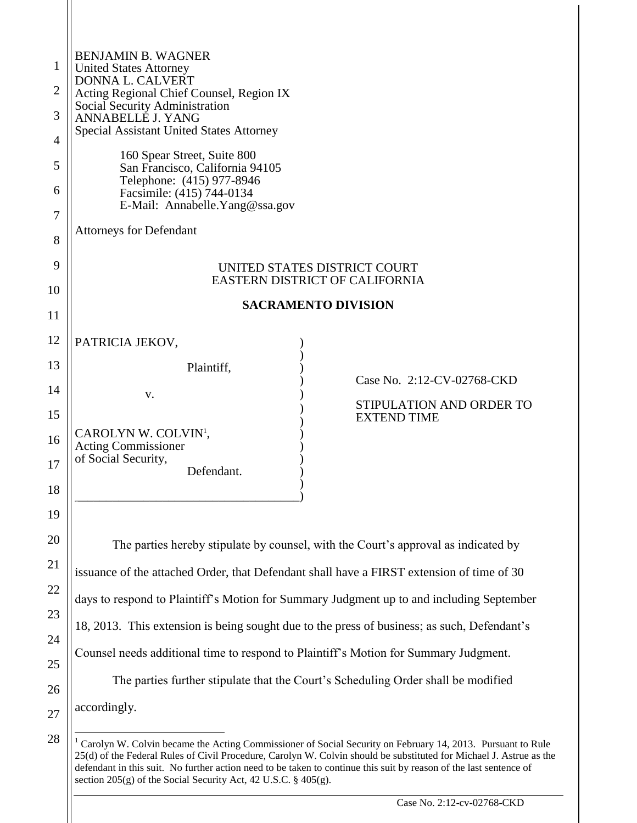|                | <b>BENJAMIN B. WAGNER</b>                                                                                                                                                                                                                                                                                                                                            |  |  |
|----------------|----------------------------------------------------------------------------------------------------------------------------------------------------------------------------------------------------------------------------------------------------------------------------------------------------------------------------------------------------------------------|--|--|
| 1              | <b>United States Attorney</b><br>DONNA L. CALVERT<br>Acting Regional Chief Counsel, Region IX<br>Social Security Administration                                                                                                                                                                                                                                      |  |  |
| $\overline{2}$ |                                                                                                                                                                                                                                                                                                                                                                      |  |  |
| 3              | ANNABELLE J. YANG<br><b>Special Assistant United States Attorney</b>                                                                                                                                                                                                                                                                                                 |  |  |
| 4              |                                                                                                                                                                                                                                                                                                                                                                      |  |  |
| 5              | 160 Spear Street, Suite 800<br>San Francisco, California 94105                                                                                                                                                                                                                                                                                                       |  |  |
| 6              | Telephone: (415) 977-8946<br>Facsimile: (415) 744-0134                                                                                                                                                                                                                                                                                                               |  |  |
| 7              | E-Mail: Annabelle. Yang@ssa.gov                                                                                                                                                                                                                                                                                                                                      |  |  |
| 8              | <b>Attorneys for Defendant</b>                                                                                                                                                                                                                                                                                                                                       |  |  |
| 9              | UNITED STATES DISTRICT COURT                                                                                                                                                                                                                                                                                                                                         |  |  |
| 10             | EASTERN DISTRICT OF CALIFORNIA                                                                                                                                                                                                                                                                                                                                       |  |  |
| 11             | <b>SACRAMENTO DIVISION</b>                                                                                                                                                                                                                                                                                                                                           |  |  |
| 12             |                                                                                                                                                                                                                                                                                                                                                                      |  |  |
| 13             | PATRICIA JEKOV,                                                                                                                                                                                                                                                                                                                                                      |  |  |
|                | Plaintiff,<br>Case No. 2:12-CV-02768-CKD                                                                                                                                                                                                                                                                                                                             |  |  |
| 14             | V.<br>STIPULATION AND ORDER TO                                                                                                                                                                                                                                                                                                                                       |  |  |
| 15             | <b>EXTEND TIME</b><br>CAROLYN W. COLVIN <sup>1</sup> ,                                                                                                                                                                                                                                                                                                               |  |  |
| 16             | <b>Acting Commissioner</b><br>of Social Security,                                                                                                                                                                                                                                                                                                                    |  |  |
| 17             | Defendant.                                                                                                                                                                                                                                                                                                                                                           |  |  |
| 18             |                                                                                                                                                                                                                                                                                                                                                                      |  |  |
| 19             |                                                                                                                                                                                                                                                                                                                                                                      |  |  |
| 20             | The parties hereby stipulate by counsel, with the Court's approval as indicated by                                                                                                                                                                                                                                                                                   |  |  |
| 21             | issuance of the attached Order, that Defendant shall have a FIRST extension of time of 30                                                                                                                                                                                                                                                                            |  |  |
| 22             | days to respond to Plaintiff's Motion for Summary Judgment up to and including September<br>18, 2013. This extension is being sought due to the press of business; as such, Defendant's<br>Counsel needs additional time to respond to Plaintiff's Motion for Summary Judgment.<br>The parties further stipulate that the Court's Scheduling Order shall be modified |  |  |
| 23             |                                                                                                                                                                                                                                                                                                                                                                      |  |  |
| 24             |                                                                                                                                                                                                                                                                                                                                                                      |  |  |
| 25             |                                                                                                                                                                                                                                                                                                                                                                      |  |  |
| 26             |                                                                                                                                                                                                                                                                                                                                                                      |  |  |
| 27             | accordingly.                                                                                                                                                                                                                                                                                                                                                         |  |  |
| 28             | Carolyn W. Colvin became the Acting Commissioner of Social Security on February 14, 2013. Pursuant to Rul                                                                                                                                                                                                                                                            |  |  |
|                |                                                                                                                                                                                                                                                                                                                                                                      |  |  |

<sup>&</sup>lt;sup>1</sup> Carolyn W. Colvin became the Acting Commissioner of Social Security on February 14, 2013. Pursuant to Rule 25(d) of the Federal Rules of Civil Procedure, Carolyn W. Colvin should be substituted for Michael J. Astrue as the defendant in this suit. No further action need to be taken to continue this suit by reason of the last sentence of section 205(g) of the Social Security Act, 42 U.S.C. § 405(g).